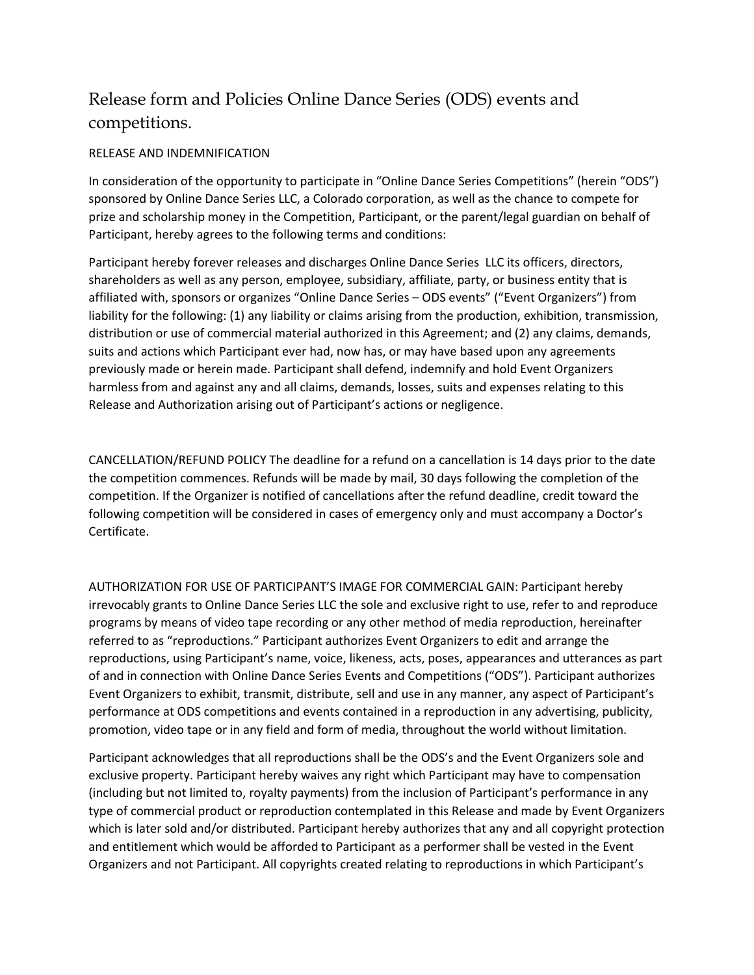## Release form and Policies Online Dance Series (ODS) events and competitions.

## RELEASE AND INDEMNIFICATION

In consideration of the opportunity to participate in "Online Dance Series Competitions" (herein "ODS") sponsored by Online Dance Series LLC, a Colorado corporation, as well as the chance to compete for prize and scholarship money in the Competition, Participant, or the parent/legal guardian on behalf of Participant, hereby agrees to the following terms and conditions:

Participant hereby forever releases and discharges Online Dance Series LLC its officers, directors, shareholders as well as any person, employee, subsidiary, affiliate, party, or business entity that is affiliated with, sponsors or organizes "Online Dance Series – ODS events" ("Event Organizers") from liability for the following: (1) any liability or claims arising from the production, exhibition, transmission, distribution or use of commercial material authorized in this Agreement; and (2) any claims, demands, suits and actions which Participant ever had, now has, or may have based upon any agreements previously made or herein made. Participant shall defend, indemnify and hold Event Organizers harmless from and against any and all claims, demands, losses, suits and expenses relating to this Release and Authorization arising out of Participant's actions or negligence.

CANCELLATION/REFUND POLICY The deadline for a refund on a cancellation is 14 days prior to the date the competition commences. Refunds will be made by mail, 30 days following the completion of the competition. If the Organizer is notified of cancellations after the refund deadline, credit toward the following competition will be considered in cases of emergency only and must accompany a Doctor's Certificate.

AUTHORIZATION FOR USE OF PARTICIPANT'S IMAGE FOR COMMERCIAL GAIN: Participant hereby irrevocably grants to Online Dance Series LLC the sole and exclusive right to use, refer to and reproduce programs by means of video tape recording or any other method of media reproduction, hereinafter referred to as "reproductions." Participant authorizes Event Organizers to edit and arrange the reproductions, using Participant's name, voice, likeness, acts, poses, appearances and utterances as part of and in connection with Online Dance Series Events and Competitions ("ODS"). Participant authorizes Event Organizers to exhibit, transmit, distribute, sell and use in any manner, any aspect of Participant's performance at ODS competitions and events contained in a reproduction in any advertising, publicity, promotion, video tape or in any field and form of media, throughout the world without limitation.

Participant acknowledges that all reproductions shall be the ODS's and the Event Organizers sole and exclusive property. Participant hereby waives any right which Participant may have to compensation (including but not limited to, royalty payments) from the inclusion of Participant's performance in any type of commercial product or reproduction contemplated in this Release and made by Event Organizers which is later sold and/or distributed. Participant hereby authorizes that any and all copyright protection and entitlement which would be afforded to Participant as a performer shall be vested in the Event Organizers and not Participant. All copyrights created relating to reproductions in which Participant's